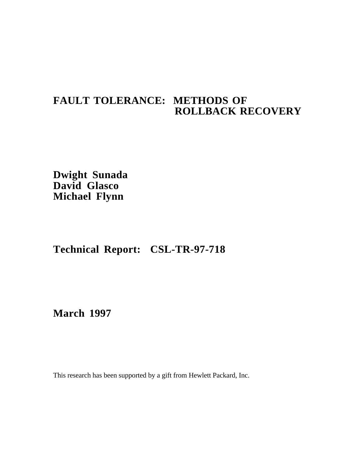# **FAULT TOLERANCE: METHODS OF ROLLBACK RECOVERY**

**Dwight Sunada David Glasco Michael Flynn**

# **Technical Report: CSL-TR-97-718**

**March 1997**

This research has been supported by a gift from Hewlett Packard, Inc.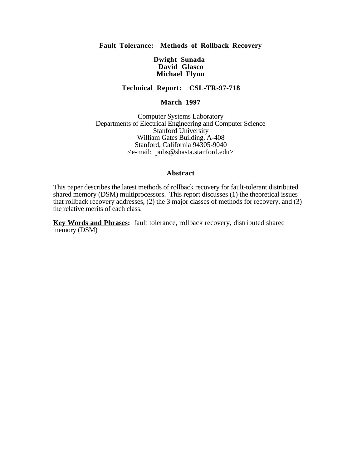## **Fault Tolerance: Methods of Rollback Recovery**

#### **Dwight Sunada David Glasco Michael Flynn**

## **Technical Report: CSL-TR-97-718**

## **March 1997**

Computer Systems Laboratory Departments of Electrical Engineering and Computer Science Stanford University William Gates Building, A-408 Stanford, California 94305-9040 <e-mail: pubs@shasta.stanford.edu>

#### **Abstract**

This paper describes the latest methods of rollback recovery for fault-tolerant distributed shared memory (DSM) multiprocessors. This report discusses (1) the theoretical issues that rollback recovery addresses, (2) the 3 major classes of methods for recovery, and (3) the relative merits of each class.

**Key Words and Phrases:** fault tolerance, rollback recovery, distributed shared memory (DSM)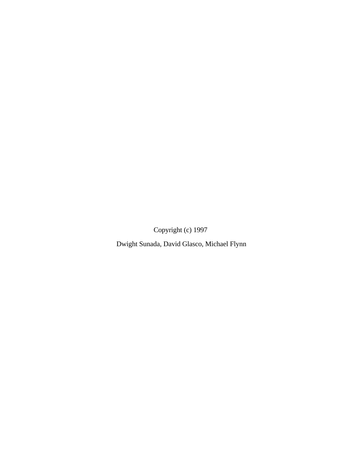Copyright (c) 1997

Dwight Sunada, David Glasco, Michael Flynn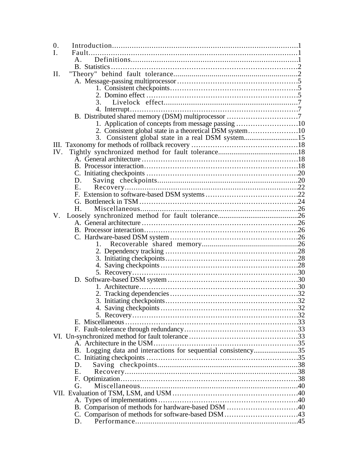| 0.  |                                                               |  |
|-----|---------------------------------------------------------------|--|
| I.  | Fault                                                         |  |
|     |                                                               |  |
|     |                                                               |  |
| Π.  |                                                               |  |
|     |                                                               |  |
|     |                                                               |  |
|     |                                                               |  |
|     | 3.                                                            |  |
|     |                                                               |  |
|     |                                                               |  |
|     | 1. Application of concepts from message passing 10            |  |
|     | 2. Consistent global state in a theoretical DSM system10      |  |
|     | 3. Consistent global state in a real DSM system15             |  |
|     |                                                               |  |
| IV. |                                                               |  |
|     |                                                               |  |
|     |                                                               |  |
|     |                                                               |  |
|     | D.                                                            |  |
|     | Е.                                                            |  |
|     |                                                               |  |
|     |                                                               |  |
|     | $H_{\cdot}$                                                   |  |
| V.  |                                                               |  |
|     |                                                               |  |
|     |                                                               |  |
|     |                                                               |  |
|     |                                                               |  |
|     |                                                               |  |
|     |                                                               |  |
|     |                                                               |  |
|     |                                                               |  |
|     |                                                               |  |
|     |                                                               |  |
|     |                                                               |  |
|     |                                                               |  |
|     |                                                               |  |
|     |                                                               |  |
|     |                                                               |  |
|     |                                                               |  |
|     |                                                               |  |
|     |                                                               |  |
|     | B. Logging data and interactions for sequential consistency35 |  |
|     |                                                               |  |
|     | D.                                                            |  |
|     | $E_{\rm{L}}$                                                  |  |
|     |                                                               |  |
|     | G.                                                            |  |
|     |                                                               |  |
|     |                                                               |  |
|     | B. Comparison of methods for hardware-based DSM 40            |  |
|     |                                                               |  |
|     | D.                                                            |  |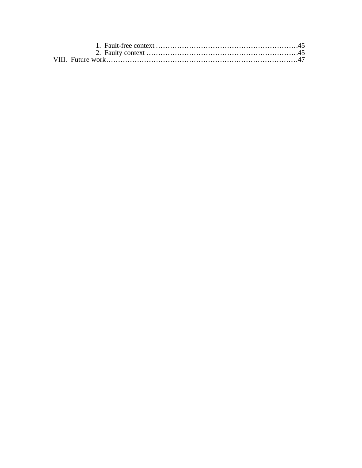| 2. Faulty context $\ldots$ $\ldots$ $\ldots$ $\ldots$ $\ldots$ $\ldots$ $\ldots$ $\ldots$ $\ldots$ $\ldots$ $\ldots$ $\ldots$ $\ldots$ $\ldots$ $\ldots$ $\ldots$ $\ldots$ $\ldots$ $\ldots$ $\ldots$ $\ldots$ $\ldots$ $\ldots$ $\ldots$ $\ldots$ $\ldots$ $\ldots$ $\ldots$ $\ldots$ $\ldots$ $\ldots$ $\ldots$ $\ldots$ $\ldots$ |  |
|-------------------------------------------------------------------------------------------------------------------------------------------------------------------------------------------------------------------------------------------------------------------------------------------------------------------------------------|--|
|                                                                                                                                                                                                                                                                                                                                     |  |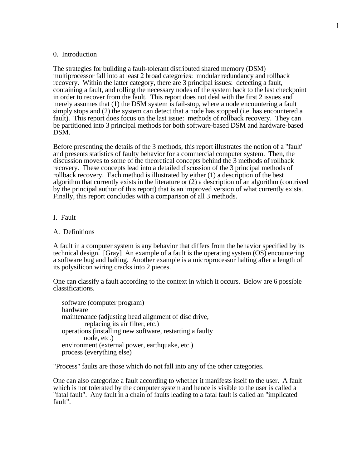#### 0. Introduction

The strategies for building a fault-tolerant distributed shared memory (DSM) multiprocessor fall into at least 2 broad categories: modular redundancy and rollback recovery. Within the latter category, there are 3 principal issues: detecting a fault, containing a fault, and rolling the necessary nodes of the system back to the last checkpoint in order to recover from the fault. This report does not deal with the first 2 issues and merely assumes that (1) the DSM system is fail-stop, where a node encountering a fault simply stops and (2) the system can detect that a node has stopped (i.e. has encountered a fault). This report does focus on the last issue: methods of rollback recovery. They can be partitioned into 3 principal methods for both software-based DSM and hardware-based DSM.

Before presenting the details of the 3 methods, this report illustrates the notion of a "fault" and presents statistics of faulty behavior for a commercial computer system. Then, the discussion moves to some of the theoretical concepts behind the 3 methods of rollback recovery. These concepts lead into a detailed discussion of the 3 principal methods of rollback recovery. Each method is illustrated by either (1) a description of the best algorithm that currently exists in the literature or (2) a description of an algorithm (contrived by the principal author of this report) that is an improved version of what currently exists. Finally, this report concludes with a comparison of all 3 methods.

#### I. Fault

#### A. Definitions

A fault in a computer system is any behavior that differs from the behavior specified by its technical design. [Gray] An example of a fault is the operating system (OS) encountering a software bug and halting. Another example is a microprocessor halting after a length of its polysilicon wiring cracks into 2 pieces.

One can classify a fault according to the context in which it occurs. Below are 6 possible classifications.

 software (computer program) hardware maintenance (adjusting head alignment of disc drive, replacing its air filter, etc.) operations (installing new software, restarting a faulty node, etc.) environment (external power, earthquake, etc.) process (everything else)

"Process" faults are those which do not fall into any of the other categories.

One can also categorize a fault according to whether it manifests itself to the user. A fault which is not tolerated by the computer system and hence is visible to the user is called a "fatal fault". Any fault in a chain of faults leading to a fatal fault is called an "implicated fault".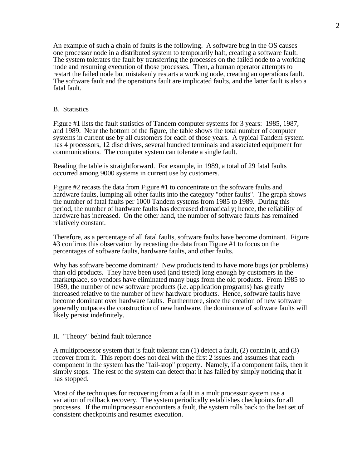An example of such a chain of faults is the following. A software bug in the OS causes one processor node in a distributed system to temporarily halt, creating a software fault. The system tolerates the fault by transferring the processes on the failed node to a working node and resuming execution of those processes. Then, a human operator attempts to restart the failed node but mistakenly restarts a working node, creating an operations fault. The software fault and the operations fault are implicated faults, and the latter fault is also a fatal fault.

#### B. Statistics

Figure #1 lists the fault statistics of Tandem computer systems for 3 years: 1985, 1987, and 1989. Near the bottom of the figure, the table shows the total number of computer systems in current use by all customers for each of those years. A typical Tandem system has 4 processors, 12 disc drives, several hundred terminals and associated equipment for communications. The computer system can tolerate a single fault.

Reading the table is straightforward. For example, in 1989, a total of 29 fatal faults occurred among 9000 systems in current use by customers.

Figure #2 recasts the data from Figure #1 to concentrate on the software faults and hardware faults, lumping all other faults into the category "other faults". The graph shows the number of fatal faults per 1000 Tandem systems from 1985 to 1989. During this period, the number of hardware faults has decreased dramatically; hence, the reliability of hardware has increased. On the other hand, the number of software faults has remained relatively constant.

Therefore, as a percentage of all fatal faults, software faults have become dominant. Figure #3 confirms this observation by recasting the data from Figure #1 to focus on the percentages of software faults, hardware faults, and other faults.

Why has software become dominant? New products tend to have more bugs (or problems) than old products. They have been used (and tested) long enough by customers in the marketplace, so vendors have eliminated many bugs from the old products. From 1985 to 1989, the number of new software products (i.e. application programs) has greatly increased relative to the number of new hardware products. Hence, software faults have become dominant over hardware faults. Furthermore, since the creation of new software generally outpaces the construction of new hardware, the dominance of software faults will likely persist indefinitely.

#### II. "Theory" behind fault tolerance

A multiprocessor system that is fault tolerant can (1) detect a fault, (2) contain it, and (3) recover from it. This report does not deal with the first 2 issues and assumes that each component in the system has the "fail-stop" property. Namely, if a component fails, then it simply stops. The rest of the system can detect that it has failed by simply noticing that it has stopped.

Most of the techniques for recovering from a fault in a multiprocessor system use a variation of rollback recovery. The system periodically establishes checkpoints for all processes. If the multiprocessor encounters a fault, the system rolls back to the last set of consistent checkpoints and resumes execution.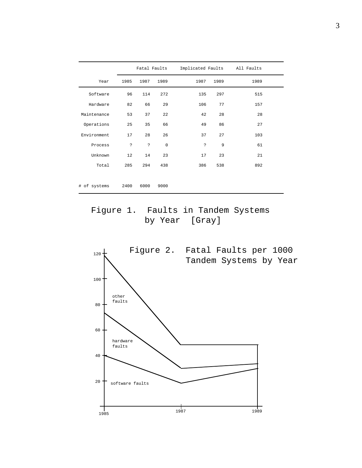|              | Fatal Faults |      | Implicated Faults All Faults |                      |      |      |  |
|--------------|--------------|------|------------------------------|----------------------|------|------|--|
| Year         | 1985         | 1987 | 1989                         | 1987                 | 1989 | 1989 |  |
| Software     | 96           | 114  | 272                          | 135                  | 297  | 515  |  |
| Hardware     | 82           | 66   | 29                           | 106                  | 77   | 157  |  |
| Maintenance  | 53           | 37   | 22                           | 42                   | 28   | 28   |  |
| Operations   | 25           | 35   | 66                           | 49                   | 86   | 27   |  |
| Environment  | 17           | 28   | 26                           | 37                   | 27   | 103  |  |
| Process      | ?            | 2    | $\mathbf 0$                  | $\ddot{\phantom{0}}$ | 9    | 61   |  |
| Unknown      | 12           | 14   | 23                           | 17                   | 23   | 21   |  |
| Total        | 285          | 294  | 438                          | 386                  | 538  | 892  |  |
|              |              |      |                              |                      |      |      |  |
| # of systems | 2400         | 6000 | 9000                         |                      |      |      |  |

Figure 1. Faults in Tandem Systems by Year [Gray]

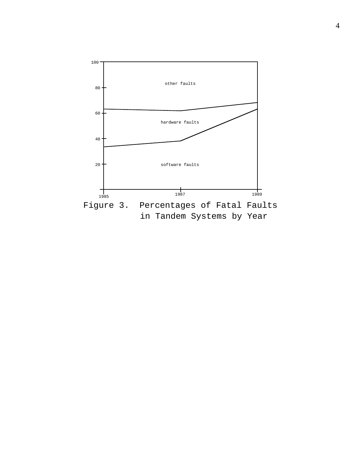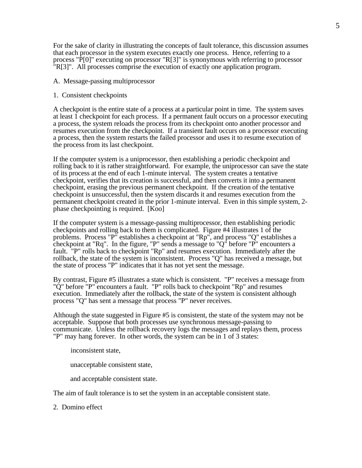For the sake of clarity in illustrating the concepts of fault tolerance, this discussion assumes that each processor in the system executes exactly one process. Hence, referring to a process "P[0]" executing on processor "R[3]" is synonymous with referring to processor "R[3]". All processes comprise the execution of exactly one application program.

#### A. Message-passing multiprocessor

#### 1. Consistent checkpoints

A checkpoint is the entire state of a process at a particular point in time. The system saves at least 1 checkpoint for each process. If a permanent fault occurs on a processor executing a process, the system reloads the process from its checkpoint onto another processor and resumes execution from the checkpoint. If a transient fault occurs on a processor executing a process, then the system restarts the failed processor and uses it to resume execution of the process from its last checkpoint.

If the computer system is a uniprocessor, then establishing a periodic checkpoint and rolling back to it is rather straightforward. For example, the uniprocessor can save the state of its process at the end of each 1-minute interval. The system creates a tentative checkpoint, verifies that its creation is successful, and then converts it into a permanent checkpoint, erasing the previous permanent checkpoint. If the creation of the tentative checkpoint is unsuccessful, then the system discards it and resumes execution from the permanent checkpoint created in the prior 1-minute interval. Even in this simple system, 2 phase checkpointing is required. [Koo]

If the computer system is a message-passing multiprocessor, then establishing periodic checkpoints and rolling back to them is complicated. Figure #4 illustrates 1 of the problems. Process "P" establishes a checkpoint at "Rp", and process "Q" establishes a checkpoint at "Rq". In the figure, "P" sends a message to "Q" before "P" encounters a fault. "P" rolls back to checkpoint "Rp" and resumes execution. Immediately after the rollback, the state of the system is inconsistent. Process "Q" has received a message, but the state of process "P" indicates that it has not yet sent the message.

By contrast, Figure #5 illustrates a state which is consistent. "P" receives a message from " $\ddot{Q}$ " before "P" encounters a fault. "P" rolls back to checkpoint "Rp" and resumes execution. Immediately after the rollback, the state of the system is consistent although process "Q" has sent a message that process "P" never receives.

Although the state suggested in Figure #5 is consistent, the state of the system may not be acceptable. Suppose that both processes use synchronous message-passing to communicate. Unless the rollback recovery logs the messages and replays them, process "P" may hang forever. In other words, the system can be in 1 of 3 states:

inconsistent state,

unacceptable consistent state,

and acceptable consistent state.

The aim of fault tolerance is to set the system in an acceptable consistent state.

2. Domino effect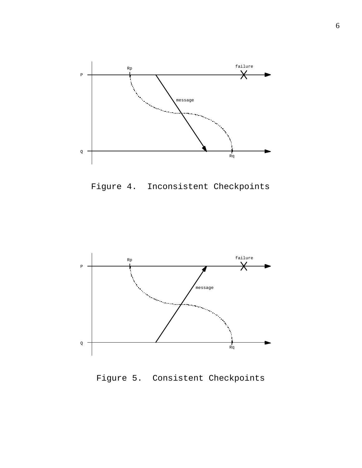

Figure 4. Inconsistent Checkpoints



Figure 5. Consistent Checkpoints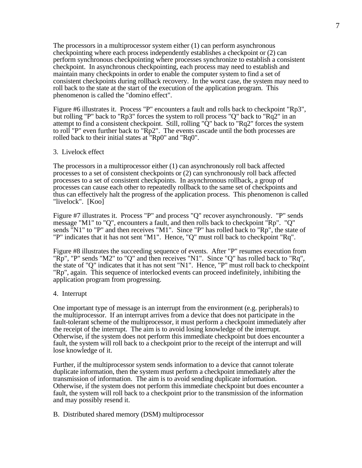The processors in a multiprocessor system either (1) can perform asynchronous checkpointing where each process independently establishes a checkpoint or (2) can perform synchronous checkpointing where processes synchronize to establish a consistent checkpoint. In asynchronous checkpointing, each process may need to establish and maintain many checkpoints in order to enable the computer system to find a set of consistent checkpoints during rollback recovery. In the worst case, the system may need to roll back to the state at the start of the execution of the application program. This phenomenon is called the "domino effect".

Figure #6 illustrates it. Process "P" encounters a fault and rolls back to checkpoint "Rp3", but rolling "P" back to "Rp3" forces the system to roll process "Q" back to "Rq2" in an attempt to find a consistent checkpoint. Still, rolling "Q" back to "Rq2" forces the system to roll "P" even further back to "Rp2". The events cascade until the both processes are rolled back to their initial states at "Rp0" and "Rq0".

#### 3. Livelock effect

The processors in a multiprocessor either (1) can asynchronously roll back affected processes to a set of consistent checkpoints or (2) can synchronously roll back affected processes to a set of consistent checkpoints. In asynchronous rollback, a group of processes can cause each other to repeatedly rollback to the same set of checkpoints and thus can effectively halt the progress of the application process. This phenomenon is called "livelock". [Koo]

Figure #7 illustrates it. Process "P" and process "Q" recover asynchronously. "P" sends message "M1" to "Q", encounters a fault, and then rolls back to checkpoint "Rp". "Q" sends "N1" to "P" and then receives "M1". Since "P" has rolled back to "Rp", the state of "P" indicates that it has not sent "M1". Hence, "Q" must roll back to checkpoint "Rq".

Figure #8 illustrates the succeeding sequence of events. After "P" resumes execution from "Rp", "P" sends "M2" to "Q" and then receives "N1". Since "Q" has rolled back to "Rq", the state of "Q" indicates that it has not sent "N1". Hence, "P" must roll back to checkpoint "Rp", again. This sequence of interlocked events can proceed indefinitely, inhibiting the application program from progressing.

#### 4. Interrupt

One important type of message is an interrupt from the environment (e.g. peripherals) to the multiprocessor. If an interrupt arrives from a device that does not participate in the fault-tolerant scheme of the multiprocessor, it must perform a checkpoint immediately after the receipt of the interrupt. The aim is to avoid losing knowledge of the interrupt. Otherwise, if the system does not perform this immediate checkpoint but does encounter a fault, the system will roll back to a checkpoint prior to the receipt of the interrupt and will lose knowledge of it.

Further, if the multiprocessor system sends information to a device that cannot tolerate duplicate information, then the system must perform a checkpoint immediately after the transmission of information. The aim is to avoid sending duplicate information. Otherwise, if the system does not perform this immediate checkpoint but does encounter a fault, the system will roll back to a checkpoint prior to the transmission of the information and may possibly resend it.

#### B. Distributed shared memory (DSM) multiprocessor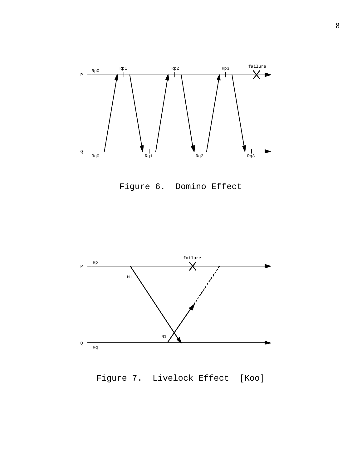

Figure 6. Domino Effect



Figure 7. Livelock Effect [Koo]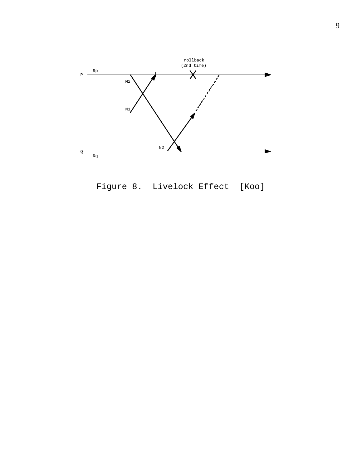

Figure 8. Livelock Effect [Koo]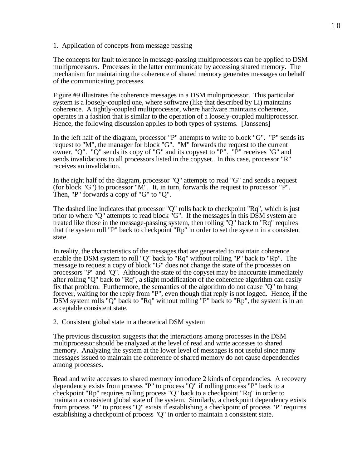1. Application of concepts from message passing

The concepts for fault tolerance in message-passing multiprocessors can be applied to DSM multiprocessors. Processes in the latter communicate by accessing shared memory. The mechanism for maintaining the coherence of shared memory generates messages on behalf of the communicating processes.

Figure #9 illustrates the coherence messages in a DSM multiprocessor. This particular system is a loosely-coupled one, where software (like that described by Li) maintains coherence. A tightly-coupled multiprocessor, where hardware maintains coherence, operates in a fashion that is similar to the operation of a loosely-coupled multiprocessor. Hence, the following discussion applies to both types of systems. [Janssens]

In the left half of the diagram, processor "P" attempts to write to block "G". "P" sends its request to "M", the manager for block "G". "M" forwards the request to the current owner, "Q". "Q" sends its copy of "G" and its copyset to "P". "P" receives "G" and sends invalidations to all processors listed in the copyset. In this case, processor "R" receives an invalidation.

In the right half of the diagram, processor "Q" attempts to read "G" and sends a request (for block "G") to processor "M". It, in turn, forwards the request to processor "P". Then, "P" forwards a copy of "G" to "Q".

The dashed line indicates that processor "Q" rolls back to checkpoint "Rq", which is just prior to where "Q" attempts to read block "G". If the messages in this DSM system are treated like those in the message-passing system, then rolling "Q" back to "Rq" requires that the system roll "P" back to checkpoint "Rp" in order to set the system in a consistent state.

In reality, the characteristics of the messages that are generated to maintain coherence enable the DSM system to roll "Q" back to "Rq" without rolling "P" back to "Rp". The message to request a copy of block "G" does not change the state of the processes on processors "P" and "Q". Although the state of the copyset may be inaccurate immediately after rolling "Q" back to "Rq", a slight modification of the coherence algorithm can easily fix that problem. Furthermore, the semantics of the algorithm do not cause "Q" to hang forever, waiting for the reply from "P", even though that reply is not logged. Hence, if the DSM system rolls "Q" back to "Rq" without rolling "P" back to "Rp", the system is in an acceptable consistent state.

2. Consistent global state in a theoretical DSM system

The previous discussion suggests that the interactions among processes in the DSM multiprocessor should be analyzed at the level of read and write accesses to shared memory. Analyzing the system at the lower level of messages is not useful since many messages issued to maintain the coherence of shared memory do not cause dependencies among processes.

Read and write accesses to shared memory introduce 2 kinds of dependencies. A recovery dependency exists from process "P" to process "Q" if rolling process "P" back to a checkpoint "Rp" requires rolling process "Q" back to a checkpoint "Rq" in order to maintain a consistent global state of the system. Similarly, a checkpoint dependency exists from process "P" to process "Q" exists if establishing a checkpoint of process "P" requires establishing a checkpoint of process "Q" in order to maintain a consistent state.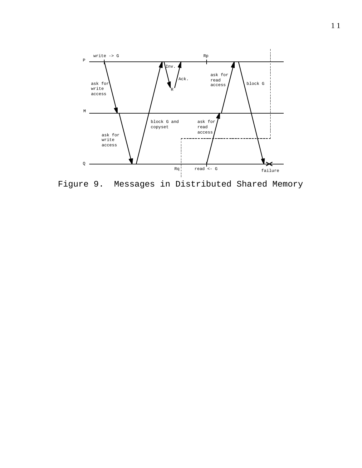

Figure 9. Messages in Distributed Shared Memory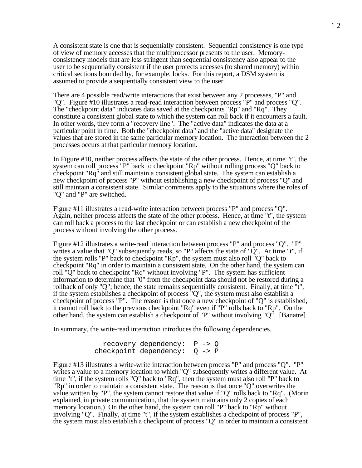A consistent state is one that is sequentially consistent. Sequential consistency is one type of view of memory accesses that the multiprocessor presents to the user. Memoryconsistency models that are less stringent than sequential consistency also appear to the user to be sequentially consistent if the user protects accesses (to shared memory) within critical sections bounded by, for example, locks. For this report, a DSM system is assumed to provide a sequentially consistent view to the user.

There are 4 possible read/write interactions that exist between any 2 processes, "P" and "Q". Figure #10 illustrates a read-read interaction between process "P" and process "Q". The "checkpoint data" indicates data saved at the checkpoints "Rp" and "Rq". They constitute a consistent global state to which the system can roll back if it encounters a fault. In other words, they form a "recovery line". The "active data" indicates the data at a particular point in time. Both the "checkpoint data" and the "active data" designate the values that are stored in the same particular memory location. The interaction between the 2 processes occurs at that particular memory location.

In Figure #10, neither process affects the state of the other process. Hence, at time "t", the system can roll process "P" back to checkpoint "Rp" without rolling process "Q" back to checkpoint "Rq" and still maintain a consistent global state. The system can establish a new checkpoint of process "P" without establishing a new checkpoint of process "Q" and still maintain a consistent state. Similar comments apply to the situations where the roles of "Q" and "P" are switched.

Figure #11 illustrates a read-write interaction between process "P" and process "Q". Again, neither process affects the state of the other process. Hence, at time "t", the system can roll back a process to the last checkpoint or can establish a new checkpoint of the process without involving the other process.

Figure #12 illustrates a write-read interaction between process "P" and process "Q". "P" writes a value that "Q" subsequently reads, so "P" affects the state of "Q". At time "t", if the system rolls "P" back to checkpoint "Rp", the system must also roll "Q" back to checkpoint "Rq" in order to maintain a consistent state. On the other hand, the system can roll "Q" back to checkpoint "Rq" without involving "P". The system has sufficient information to determine that "0" from the checkpoint data should not be restored during a rollback of only "Q"; hence, the state remains sequentially consistent. Finally, at time "t", if the system establishes a checkpoint of process "Q", the system must also establish a checkpoint of process "P". The reason is that once a new checkpoint of "Q" is established, it cannot roll back to the previous checkpoint "Rq" even if "P" rolls back to "Rp". On the other hand, the system can establish a checkpoint of "P" without involving "Q". [Banatre]

In summary, the write-read interaction introduces the following dependencies.

 recovery dependency: P -> Q checkpoint dependency: Q -> P

Figure #13 illustrates a write-write interaction between process "P" and process "Q". "P" writes a value to a memory location to which "Q" subsequently writes a different value. At time "t", if the system rolls "Q" back to "Rq", then the system must also roll "P" back to "Rp" in order to maintain a consistent state. The reason is that once "Q" overwrites the value written by "P", the system cannot restore that value if "Q" rolls back to "Rq". (Morin explained, in private communication, that the system maintains only 2 copies of each memory location.) On the other hand, the system can roll "P" back to "Rp" without involving "Q". Finally, at time "t", if the system establishes a checkpoint of process "P", the system must also establish a checkpoint of process "Q" in order to maintain a consistent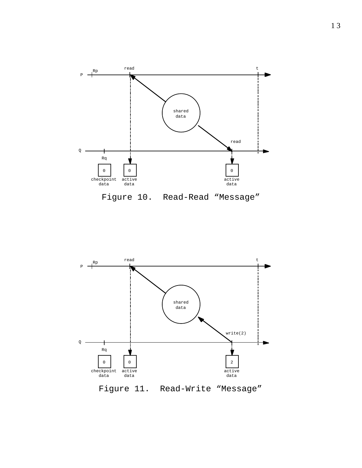

P Q Figure 11. Read-Write "Message" Rp Rq checkpoint active data active data data 0 0 2 shared data read write(2) t

1 3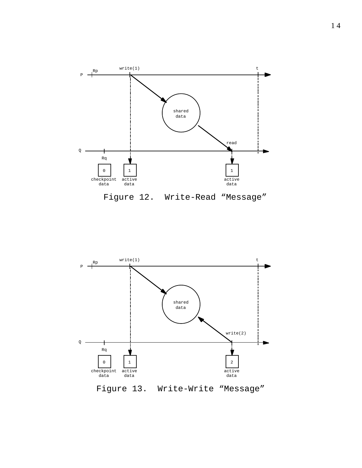

Figure 12. Write-Read "Message"

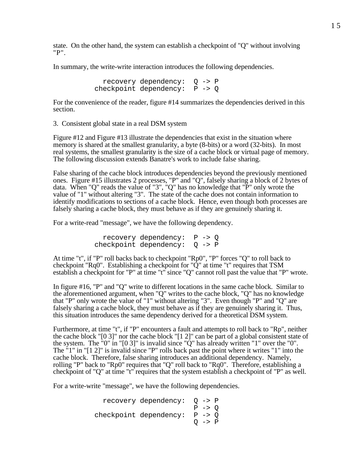state. On the other hand, the system can establish a checkpoint of "Q" without involving "P".

In summary, the write-write interaction introduces the following dependencies.

 recovery dependency: Q -> P checkpoint dependency: P -> Q

For the convenience of the reader, figure #14 summarizes the dependencies derived in this section.

3. Consistent global state in a real DSM system

Figure #12 and Figure #13 illustrate the dependencies that exist in the situation where memory is shared at the smallest granularity, a byte (8-bits) or a word (32-bits). In most real systems, the smallest granularity is the size of a cache block or virtual page of memory. The following discussion extends Banatre's work to include false sharing.

False sharing of the cache block introduces dependencies beyond the previously mentioned ones. Figure #15 illustrates 2 processes, "P" and "Q", falsely sharing a block of 2 bytes of data. When "Q" reads the value of "3", "Q" has no knowledge that "P" only wrote the value of "1" without altering "3". The state of the cache does not contain information to identify modifications to sections of a cache block. Hence, even though both processes are falsely sharing a cache block, they must behave as if they are genuinely sharing it.

For a write-read "message", we have the following dependency.

 recovery dependency: P -> Q checkpoint dependency: Q -> P

At time "t", if "P" roll backs back to checkpoint "Rp0", "P" forces "Q" to roll back to checkpoint "Rq0". Establishing a checkpoint for "Q" at time "t" requires that TSM establish a checkpoint for "P" at time "t" since "Q" cannot roll past the value that "P" wrote.

In figure #16, "P" and "Q" write to different locations in the same cache block. Similar to the aforementioned argument, when "Q" writes to the cache block, "Q" has no knowledge that "P" only wrote the value of "1" without altering "3". Even though "P" and "Q" are falsely sharing a cache block, they must behave as if they are genuinely sharing it. Thus, this situation introduces the same dependency derived for a theoretical DSM system.

Furthermore, at time "t", if "P" encounters a fault and attempts to roll back to "Rp", neither the cache block "[0 3]" nor the cache block "[1 2]" can be part of a global consistent state of the system. The "0" in "[0 3]" is invalid since "Q" has already written "1" over the "0". The "1" in "[1 2]" is invalid since "P" rolls back past the point where it writes "1" into the cache block. Therefore, false sharing introduces an additional dependency. Namely, rolling "P" back to "Rp0" requires that "Q" roll back to "Rq0". Therefore, establishing a checkpoint of "Q" at time "t" requires that the system establish a checkpoint of "P" as well.

For a write-write "message", we have the following dependencies.

```
recovery dependency: Q \rightarrow P<br>P -> 0
P \rightarrow Q checkpoint dependency: P -> Q
                               O \rightarrow P
```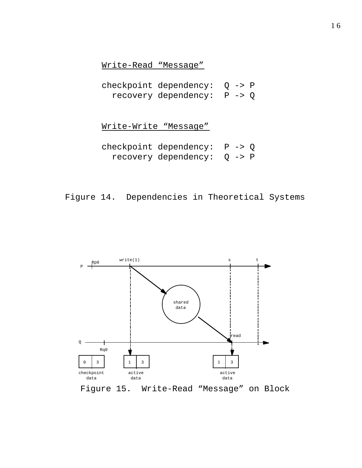# Write-Read "Message"

- checkpoint dependency: Q -> P recovery dependency: P -> Q
	-

Write-Write "Message"

- checkpoint dependency: P -> Q recovery dependency: Q -> P
- Figure 14. Dependencies in Theoretical Systems

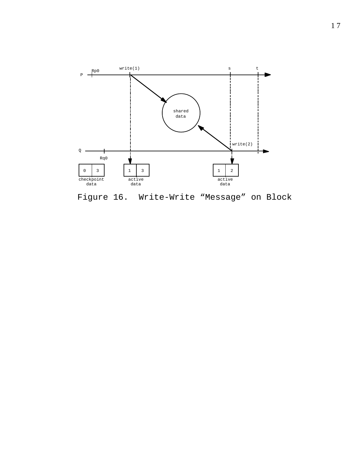

Figure 16. Write-Write "Message" on Block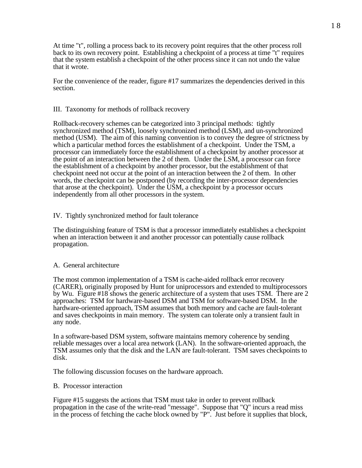At time "t", rolling a process back to its recovery point requires that the other process roll back to its own recovery point. Establishing a checkpoint of a process at time "t" requires that the system establish a checkpoint of the other process since it can not undo the value that it wrote.

For the convenience of the reader, figure #17 summarizes the dependencies derived in this section.

## III. Taxonomy for methods of rollback recovery

Rollback-recovery schemes can be categorized into 3 principal methods: tightly synchronized method (TSM), loosely synchronized method (LSM), and un-synchronized method (USM). The aim of this naming convention is to convey the degree of strictness by which a particular method forces the establishment of a checkpoint. Under the TSM, a processor can immediately force the establishment of a checkpoint by another processor at the point of an interaction between the 2 of them. Under the LSM, a processor can force the establishment of a checkpoint by another processor, but the establishment of that checkpoint need not occur at the point of an interaction between the 2 of them. In other words, the checkpoint can be postponed (by recording the inter-processor dependencies that arose at the checkpoint). Under the USM, a checkpoint by a processor occurs independently from all other processors in the system.

## IV. Tightly synchronized method for fault tolerance

The distinguishing feature of TSM is that a processor immediately establishes a checkpoint when an interaction between it and another processor can potentially cause rollback propagation.

#### A. General architecture

The most common implementation of a TSM is cache-aided rollback error recovery (CARER), originally proposed by Hunt for uniprocessors and extended to multiprocessors by Wu. Figure #18 shows the generic architecture of a system that uses TSM. There are 2 approaches: TSM for hardware-based DSM and TSM for software-based DSM. In the hardware-oriented approach, TSM assumes that both memory and cache are fault-tolerant and saves checkpoints in main memory. The system can tolerate only a transient fault in any node.

In a software-based DSM system, software maintains memory coherence by sending reliable messages over a local area network (LAN). In the software-oriented approach, the TSM assumes only that the disk and the LAN are fault-tolerant. TSM saves checkpoints to disk.

The following discussion focuses on the hardware approach.

#### B. Processor interaction

Figure #15 suggests the actions that TSM must take in order to prevent rollback propagation in the case of the write-read "message". Suppose that "Q" incurs a read miss in the process of fetching the cache block owned by "P". Just before it supplies that block,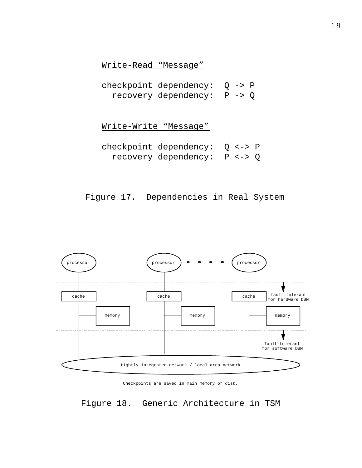# Write-Read "Message"

checkpoint dependency: Q -> P recovery dependency: P -> Q

Write-Write "Message"

- checkpoint dependency: Q <-> P recovery dependency: P <-> Q
- Figure 17. Dependencies in Real System



Checkpoints are saved in main memory or disk.

Figure 18. Generic Architecture in TSM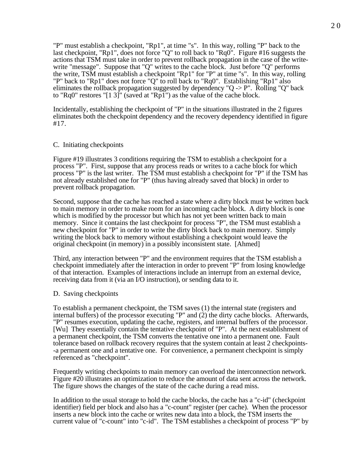"P" must establish a checkpoint, "Rp1", at time "s". In this way, rolling "P" back to the last checkpoint, "Rp1", does not force "Q" to roll back to "Rq0". Figure #16 suggests the actions that TSM must take in order to prevent rollback propagation in the case of the writewrite "message". Suppose that "Q" writes to the cache block. Just before "Q" performs the write, TSM must establish a checkpoint "Rp1" for "P" at time "s". In this way, rolling "P" back to "Rp1" does not force "Q" to roll back to "Rq0". Establishing "Rp1" also eliminates the rollback propagation suggested by dependency " $Q \rightarrow P$ ". Rolling " $Q$ " back to "Rq0" restores "[1 3]" (saved at "Rp1") as the value of the cache block.

Incidentally, establishing the checkpoint of "P" in the situations illustrated in the 2 figures eliminates both the checkpoint dependency and the recovery dependency identified in figure #17.

#### C. Initiating checkpoints

Figure #19 illustrates 3 conditions requiring the TSM to establish a checkpoint for a process "P". First, suppose that any process reads or writes to a cache block for which process "P" is the last writer. The TSM must establish a checkpoint for "P" if the TSM has not already established one for "P" (thus having already saved that block) in order to prevent rollback propagation.

Second, suppose that the cache has reached a state where a dirty block must be written back to main memory in order to make room for an incoming cache block. A dirty block is one which is modified by the processor but which has not yet been written back to main memory. Since it contains the last checkpoint for process "P", the TSM must establish a new checkpoint for "P" in order to write the dirty block back to main memory. Simply writing the block back to memory without establishing a checkpoint would leave the original checkpoint (in memory) in a possibly inconsistent state. [Ahmed]

Third, any interaction between "P" and the environment requires that the TSM establish a checkpoint immediately after the interaction in order to prevent "P" from losing knowledge of that interaction. Examples of interactions include an interrupt from an external device, receiving data from it (via an I/O instruction), or sending data to it.

#### D. Saving checkpoints

To establish a permanent checkpoint, the TSM saves (1) the internal state (registers and internal buffers) of the processor executing "P" and (2) the dirty cache blocks. Afterwards, "P" resumes execution, updating the cache, registers, and internal buffers of the processor. [Wu] They essentially contain the tentative checkpoint of "P". At the next establishment of a permanent checkpoint, the TSM converts the tentative one into a permanent one. Fault tolerance based on rollback recovery requires that the system contain at least 2 checkpoints- -a permanent one and a tentative one. For convenience, a permanent checkpoint is simply referenced as "checkpoint".

Frequently writing checkpoints to main memory can overload the interconnection network. Figure #20 illustrates an optimization to reduce the amount of data sent across the network. The figure shows the changes of the state of the cache during a read miss.

In addition to the usual storage to hold the cache blocks, the cache has a "c-id" (checkpoint identifier) field per block and also has a "c-count" register (per cache). When the processor inserts a new block into the cache or writes new data into a block, the TSM inserts the current value of "c-count" into "c-id". The TSM establishes a checkpoint of process "P" by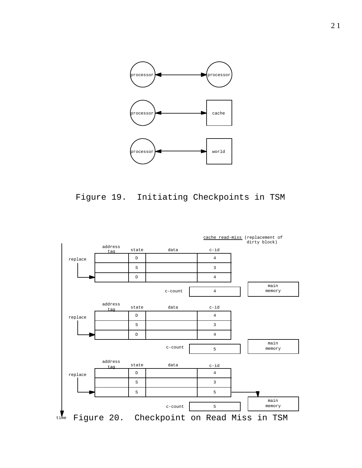



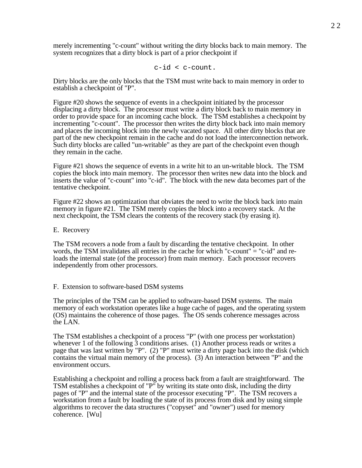merely incrementing "c-count" without writing the dirty blocks back to main memory. The system recognizes that a dirty block is part of a prior checkpoint if

$$
\verb& c-id < c-count.
$$

Dirty blocks are the only blocks that the TSM must write back to main memory in order to establish a checkpoint of "P".

Figure #20 shows the sequence of events in a checkpoint initiated by the processor displacing a dirty block. The processor must write a dirty block back to main memory in order to provide space for an incoming cache block. The TSM establishes a checkpoint by incrementing "c-count". The processor then writes the dirty block back into main memory and places the incoming block into the newly vacated space. All other dirty blocks that are part of the new checkpoint remain in the cache and do not load the interconnection network. Such dirty blocks are called "un-writable" as they are part of the checkpoint even though they remain in the cache.

Figure #21 shows the sequence of events in a write hit to an un-writable block. The TSM copies the block into main memory. The processor then writes new data into the block and inserts the value of "c-count" into "c-id". The block with the new data becomes part of the tentative checkpoint.

Figure #22 shows an optimization that obviates the need to write the block back into main memory in figure #21. The TSM merely copies the block into a recovery stack. At the next checkpoint, the TSM clears the contents of the recovery stack (by erasing it).

#### E. Recovery

The TSM recovers a node from a fault by discarding the tentative checkpoint. In other words, the TSM invalidates all entries in the cache for which "c-count" = "c-id" and reloads the internal state (of the processor) from main memory. Each processor recovers independently from other processors.

#### F. Extension to software-based DSM systems

The principles of the TSM can be applied to software-based DSM systems. The main memory of each workstation operates like a huge cache of pages, and the operating system (OS) maintains the coherence of those pages. The OS sends coherence messages across the LAN.

The TSM establishes a checkpoint of a process "P" (with one process per workstation) whenever 1 of the following 3 conditions arises. (1) Another process reads or writes a page that was last written by "P". (2) "P" must write a dirty page back into the disk (which contains the virtual main memory of the process). (3) An interaction between "P" and the environment occurs.

Establishing a checkpoint and rolling a process back from a fault are straightforward. The TSM establishes a checkpoint of "P" by writing its state onto disk, including the dirty pages of "P" and the internal state of the processor executing "P". The TSM recovers a workstation from a fault by loading the state of its process from disk and by using simple algorithms to recover the data structures ("copyset" and "owner") used for memory coherence. [Wu]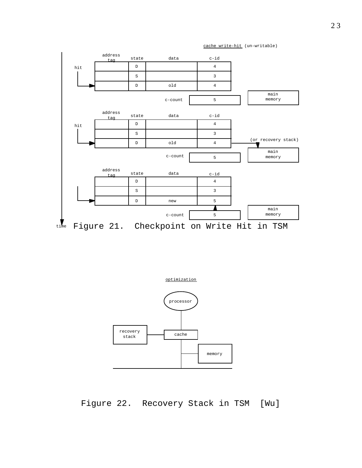cache write-hit (un-writable)





Figure 22. Recovery Stack in TSM [Wu]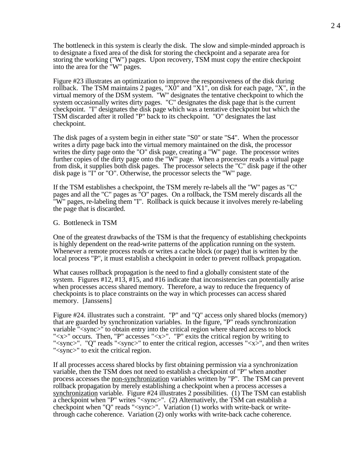The bottleneck in this system is clearly the disk. The slow and simple-minded approach is to designate a fixed area of the disk for storing the checkpoint and a separate area for storing the working ("W") pages. Upon recovery, TSM must copy the entire checkpoint into the area for the "W" pages.

Figure #23 illustrates an optimization to improve the responsiveness of the disk during rollback. The TSM maintains 2 pages, " $X0$ " and " $X1$ ", on disk for each page, "X", in the virtual memory of the DSM system. "W" designates the tentative checkpoint to which the system occasionally writes dirty pages. "C" designates the disk page that is the current checkpoint. "I" designates the disk page which was a tentative checkpoint but which the TSM discarded after it rolled "P" back to its checkpoint. "O" designates the last checkpoint.

The disk pages of a system begin in either state "S0" or state "S4". When the processor writes a dirty page back into the virtual memory maintained on the disk, the processor writes the dirty page onto the "O" disk page, creating a "W" page. The processor writes further copies of the dirty page onto the "W" page. When a processor reads a virtual page from disk, it supplies both disk pages. The processor selects the "C" disk page if the other disk page is "I" or "O". Otherwise, the processor selects the "W" page.

If the TSM establishes a checkpoint, the TSM merely re-labels all the "W" pages as "C" pages and all the "C" pages as "O" pages. On a rollback, the TSM merely discards all the "W" pages, re-labeling them "I". Rollback is quick because it involves merely re-labeling the page that is discarded.

#### G. Bottleneck in TSM

One of the greatest drawbacks of the TSM is that the frequency of establishing checkpoints is highly dependent on the read-write patterns of the application running on the system. Whenever a remote process reads or writes a cache block (or page) that is written by the local process "P", it must establish a checkpoint in order to prevent rollback propagation.

What causes rollback propagation is the need to find a globally consistent state of the system. Figures  $\#12$ ,  $\#13$ ,  $\#15$ , and  $\#16$  indicate that inconsistencies can potentially arise when processes access shared memory. Therefore, a way to reduce the frequency of checkpoints is to place constraints on the way in which processes can access shared memory. [Janssens]

Figure #24. illustrates such a constraint. "P" and "Q" access only shared blocks (memory) that are guarded by synchronization variables. In the figure, "P" reads synchronization variable "<sync>" to obtain entry into the critical region where shared access to block "<x>" occurs. Then, "P" accesses "<x>". "P" exits the critical region by writing to "<sync>". "Q" reads "<sync>" to enter the critical region, accesses "<x>", and then writes "<sync>" to exit the critical region.

If all processes access shared blocks by first obtaining permission via a synchronization variable, then the TSM does not need to establish a checkpoint of "P" when another process accesses the non-synchronization variables written by "P". The TSM can prevent rollback propagation by merely establishing a checkpoint when a process accesses a synchronization variable. Figure  $#24$  illustrates 2 possibilities. (1) The TSM can establish a checkpoint when "P" writes "<sync>". (2) Alternatively, the TSM can establish a checkpoint when "Q" reads "<sync>". Variation (1) works with write-back or writethrough cache coherence. Variation (2) only works with write-back cache coherence.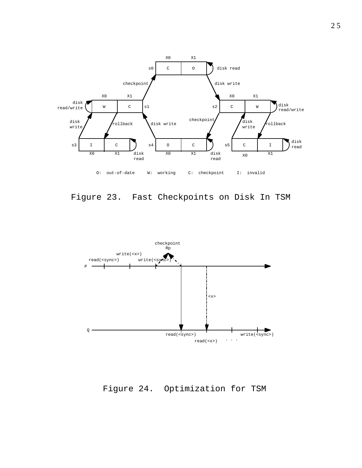





Figure 24. Optimization for TSM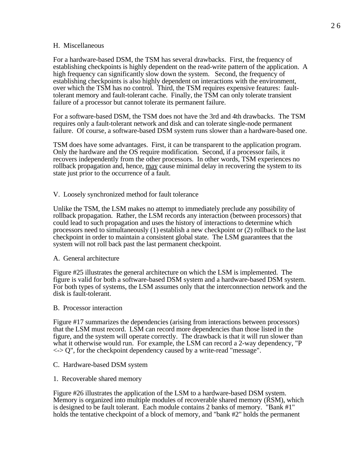#### H. Miscellaneous

For a hardware-based DSM, the TSM has several drawbacks. First, the frequency of establishing checkpoints is highly dependent on the read-write pattern of the application. A high frequency can significantly slow down the system. Second, the frequency of establishing checkpoints is also highly dependent on interactions with the environment, over which the TSM has no control. Third, the TSM requires expensive features: faulttolerant memory and fault-tolerant cache. Finally, the TSM can only tolerate transient failure of a processor but cannot tolerate its permanent failure.

For a software-based DSM, the TSM does not have the 3rd and 4th drawbacks. The TSM requires only a fault-tolerant network and disk and can tolerate single-node permanent failure. Of course, a software-based DSM system runs slower than a hardware-based one.

TSM does have some advantages. First, it can be transparent to the application program. Only the hardware and the OS require modification. Second, if a processor fails, it recovers independently from the other processors. In other words, TSM experiences no rollback propagation and, hence, may cause minimal delay in recovering the system to its state just prior to the occurrence of a fault.

#### V. Loosely synchronized method for fault tolerance

Unlike the TSM, the LSM makes no attempt to immediately preclude any possibility of rollback propagation. Rather, the LSM records any interaction (between processors) that could lead to such propagation and uses the history of interactions to determine which processors need to simultaneously (1) establish a new checkpoint or (2) rollback to the last checkpoint in order to maintain a consistent global state. The LSM guarantees that the system will not roll back past the last permanent checkpoint.

#### A. General architecture

Figure #25 illustrates the general architecture on which the LSM is implemented. The figure is valid for both a software-based DSM system and a hardware-based DSM system. For both types of systems, the LSM assumes only that the interconnection network and the disk is fault-tolerant.

#### B. Processor interaction

Figure #17 summarizes the dependencies (arising from interactions between processors) that the LSM must record. LSM can record more dependencies than those listed in the figure, and the system will operate correctly. The drawback is that it will run slower than what it otherwise would run. For example, the LSM can record a 2-way dependency, "P  $\langle \rangle$  -> Q", for the checkpoint dependency caused by a write-read "message".

#### C. Hardware-based DSM system

# 1. Recoverable shared memory

Figure #26 illustrates the application of the LSM to a hardware-based DSM system. Memory is organized into multiple modules of recoverable shared memory (RSM), which is designed to be fault tolerant. Each module contains 2 banks of memory. "Bank #1" holds the tentative checkpoint of a block of memory, and "bank #2" holds the permanent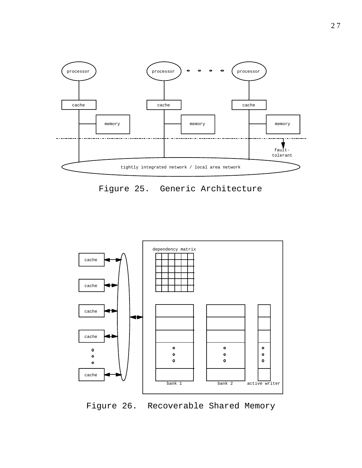





Figure 26. Recoverable Shared Memory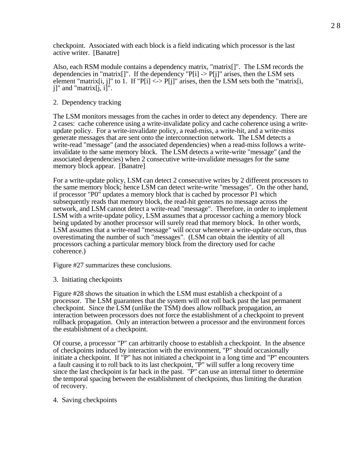checkpoint. Associated with each block is a field indicating which processor is the last active writer. [Banatre]

Also, each RSM module contains a dependency matrix, "matrix[]". The LSM records the dependencies in "matrix[]". If the dependency " $P[i] \rightarrow P[j]$ " arises, then the LSM sets element "matrix[i, j]" to 1. If "P[i] <-> P[j]" arises, then the LSM sets both the "matrix[i,  $i$ ]" and "matrix $[i, i]$ ".

## 2. Dependency tracking

The LSM monitors messages from the caches in order to detect any dependency. There are 2 cases: cache coherence using a write-invalidate policy and cache coherence using a writeupdate policy. For a write-invalidate policy, a read-miss, a write-hit, and a write-miss generate messages that are sent onto the interconnection network. The LSM detects a write-read "message" (and the associated dependencies) when a read-miss follows a writeinvalidate to the same memory block. The LSM detects a write-write "message" (and the associated dependencies) when 2 consecutive write-invalidate messages for the same memory block appear. [Banatre]

For a write-update policy, LSM can detect 2 consecutive writes by 2 different processors to the same memory block; hence LSM can detect write-write "messages". On the other hand, if processor "P0" updates a memory block that is cached by processor P1 which subsequently reads that memory block, the read-hit generates no message across the network, and LSM cannot detect a write-read "message". Therefore, in order to implement LSM with a write-update policy, LSM assumes that a processor caching a memory block being updated by another processor will surely read that memory block. In other words, LSM assumes that a write-read "message" will occur whenever a write-update occurs, thus overestimating the number of such "messages". (LSM can obtain the identity of all processors caching a particular memory block from the directory used for cache coherence.)

Figure #27 summarizes these conclusions.

3. Initiating checkpoints

Figure #28 shows the situation in which the LSM must establish a checkpoint of a processor. The LSM guarantees that the system will not roll back past the last permanent checkpoint. Since the LSM (unlike the TSM) does allow rollback propagation, an interaction between processors does not force the establishment of a checkpoint to prevent rollback propagation. Only an interaction between a processor and the environment forces the establishment of a checkpoint.

Of course, a processor "P" can arbitrarily choose to establish a checkpoint. In the absence of checkpoints induced by interaction with the environment, "P" should occasionally initiate a checkpoint. If "P" has not initiated a checkpoint in a long time and "P" encounters a fault causing it to roll back to its last checkpoint, "P" will suffer a long recovery time since the last checkpoint is far back in the past. "P" can use an internal timer to determine the temporal spacing between the establishment of checkpoints, thus limiting the duration of recovery.

# 4. Saving checkpoints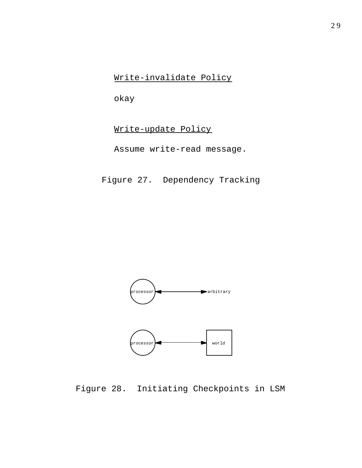Write-invalidate Policy

okay

# Write-update Policy

Assume write-read message.

Figure 27. Dependency Tracking





Figure 28. Initiating Checkpoints in LSM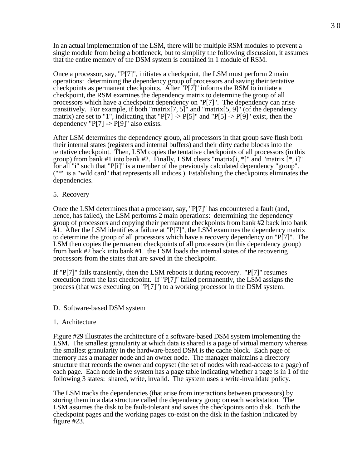In an actual implementation of the LSM, there will be multiple RSM modules to prevent a single module from being a bottleneck, but to simplify the following discussion, it assumes that the entire memory of the DSM system is contained in 1 module of RSM.

Once a processor, say, "P[7]", initiates a checkpoint, the LSM must perform 2 main operations: determining the dependency group of processors and saving their tentative checkpoints as permanent checkpoints. After "P[7]" informs the RSM to initiate a checkpoint, the RSM examines the dependency matrix to determine the group of all processors which have a checkpoint dependency on "P[7]". The dependency can arise transitively. For example, if both "matrix $[7, 5]$ " and "matrix $[5, 9]$ " (of the dependency matrix) are set to "1", indicating that "P[7]  $\rightarrow$  P[5]" and "P[5]  $\rightarrow$  P[9]" exist, then the dependency "P[7]  $\rightarrow$  P[9]" also exists.

After LSM determines the dependency group, all processors in that group save flush both their internal states (registers and internal buffers) and their dirty cache blocks into the tentative checkpoint. Then, LSM copies the tentative checkpoints of all processors (in this group) from bank #1 into bank #2. Finally, LSM clears "matrix [i,  $*$ ]" and "matrix [ $*$ , i]" for all "i" such that "P[i]" is a member of the previously calculated dependency "group". ("\*" is a "wild card" that represents all indices.) Establishing the checkpoints eliminates the dependencies.

#### 5. Recovery

Once the LSM determines that a processor, say, "P[7]" has encountered a fault (and, hence, has failed), the LSM performs 2 main operations: determining the dependency group of processors and copying their permanent checkpoints from bank #2 back into bank #1. After the LSM identifies a failure at "P[7]", the LSM examines the dependency matrix to determine the group of all processors which have a recovery dependency on "P[7]". The LSM then copies the permanent checkpoints of all processors (in this dependency group) from bank #2 back into bank #1. the LSM loads the internal states of the recovering processors from the states that are saved in the checkpoint.

If "P[7]" fails transiently, then the LSM reboots it during recovery. "P[7]" resumes execution from the last checkpoint. If "P[7]" failed permanently, the LSM assigns the process (that was executing on "P[7]") to a working processor in the DSM system.

#### D. Software-based DSM system

#### 1. Architecture

Figure #29 illustrates the architecture of a software-based DSM system implementing the LSM. The smallest granularity at which data is shared is a page of virtual memory whereas the smallest granularity in the hardware-based DSM is the cache block. Each page of memory has a manager node and an owner node. The manager maintains a directory structure that records the owner and copyset (the set of nodes with read-access to a page) of each page. Each node in the system has a page table indicating whether a page is in 1 of the following 3 states: shared, write, invalid. The system uses a write-invalidate policy.

The LSM tracks the dependencies (that arise from interactions between processors) by storing them in a data structure called the dependency group on each workstation. The LSM assumes the disk to be fault-tolerant and saves the checkpoints onto disk. Both the checkpoint pages and the working pages co-exist on the disk in the fashion indicated by figure #23.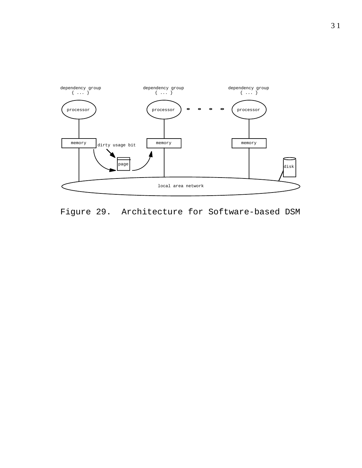

Figure 29. Architecture for Software-based DSM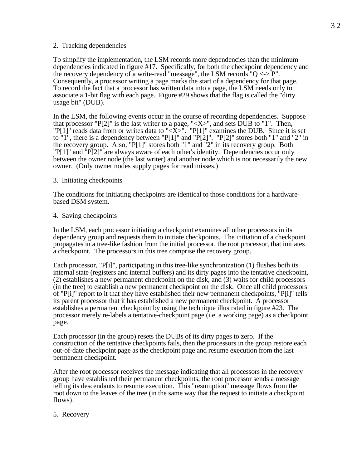#### 2. Tracking dependencies

To simplify the implementation, the LSM records more dependencies than the minimum dependencies indicated in figure #17. Specifically, for both the checkpoint dependency and the recovery dependency of a write-read "message", the LSM records " $Q \ll \geq P$ ". Consequently, a processor writing a page marks the start of a dependency for that page. To record the fact that a processor has written data into a page, the LSM needs only to associate a 1-bit flag with each page. Figure #29 shows that the flag is called the "dirty usage bit" (DUB).

In the LSM, the following events occur in the course of recording dependencies. Suppose that processor "P[2]" is the last writer to a page, " $\langle X \rangle$ ", and sets DUB to "1". Then, "P[1]" reads data from or writes data to " $\langle X \rangle$ ". "P[1]" examines the DUB. Since it is set to "1", there is a dependency between "P[1]" and "P[2]". "P[2]" stores both "1" and "2" in the recovery group. Also, "P[1]" stores both "1" and "2" in its recovery group. Both "P[1]" and "P[2]" are always aware of each other's identity. Dependencies occur only between the owner node (the last writer) and another node which is not necessarily the new owner. (Only owner nodes supply pages for read misses.)

## 3. Initiating checkpoints

The conditions for initiating checkpoints are identical to those conditions for a hardwarebased DSM system.

## 4. Saving checkpoints

In the LSM, each processor initiating a checkpoint examines all other processors in its dependency group and requests them to initiate checkpoints. The initiation of a checkpoint propagates in a tree-like fashion from the initial processor, the root processor, that initiates a checkpoint. The processors in this tree comprise the recovery group.

Each processor, "P[i]", participating in this tree-like synchronization (1) flushes both its internal state (registers and internal buffers) and its dirty pages into the tentative checkpoint, (2) establishes a new permanent checkpoint on the disk, and (3) waits for child processors (in the tree) to establish a new permanent checkpoint on the disk. Once all child processors of "P[i]" report to it that they have established their new permanent checkpoints, "P[i]" tells its parent processor that it has established a new permanent checkpoint. A processor establishes a permanent checkpoint by using the technique illustrated in figure #23. The processor merely re-labels a tentative-checkpoint page (i.e. a working page) as a checkpoint page.

Each processor (in the group) resets the DUBs of its dirty pages to zero. If the construction of the tentative checkpoints fails, then the processors in the group restore each out-of-date checkpoint page as the checkpoint page and resume execution from the last permanent checkpoint.

After the root processor receives the message indicating that all processors in the recovery group have established their permanent checkpoints, the root processor sends a message telling its descendants to resume execution. This "resumption" message flows from the root down to the leaves of the tree (in the same way that the request to initiate a checkpoint flows).

# 5. Recovery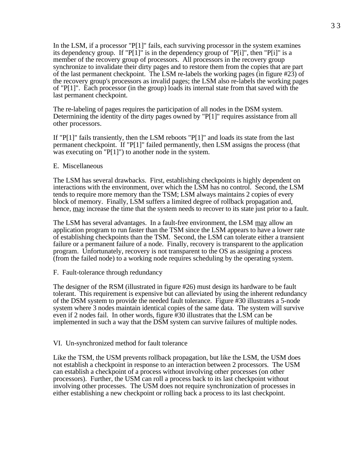In the LSM, if a processor "P[1]" fails, each surviving processor in the system examines its dependency group. If "P[1]" is in the dependency group of "P[i]", then "P[i]" is a member of the recovery group of processors. All processors in the recovery group synchronize to invalidate their dirty pages and to restore them from the copies that are part of the last permanent checkpoint. The LSM re-labels the working pages (in figure #23) of the recovery group's processors as invalid pages; the LSM also re-labels the working pages of "P[1]". Each processor (in the group) loads its internal state from that saved with the last permanent checkpoint.

The re-labeling of pages requires the participation of all nodes in the DSM system. Determining the identity of the dirty pages owned by "P[1]" requires assistance from all other processors.

If "P[1]" fails transiently, then the LSM reboots "P[1]" and loads its state from the last permanent checkpoint. If "P[1]" failed permanently, then LSM assigns the process (that was executing on "P[1]") to another node in the system.

#### E. Miscellaneous

The LSM has several drawbacks. First, establishing checkpoints is highly dependent on interactions with the environment, over which the LSM has no control. Second, the LSM tends to require more memory than the TSM; LSM always maintains 2 copies of every block of memory. Finally, LSM suffers a limited degree of rollback propagation and, hence, may increase the time that the system needs to recover to its state just prior to a fault.

The LSM has several advantages. In a fault-free environment, the LSM may allow an application program to run faster than the TSM since the LSM appears to have a lower rate of establishing checkpoints than the TSM. Second, the LSM can tolerate either a transient failure or a permanent failure of a node. Finally, recovery is transparent to the application program. Unfortunately, recovery is not transparent to the OS as assigning a process (from the failed node) to a working node requires scheduling by the operating system.

F. Fault-tolerance through redundancy

The designer of the RSM (illustrated in figure #26) must design its hardware to be fault tolerant. This requirement is expensive but can alleviated by using the inherent redundancy of the DSM system to provide the needed fault tolerance. Figure #30 illustrates a 5-node system where 3 nodes maintain identical copies of the same data. The system will survive even if 2 nodes fail. In other words, figure #30 illustrates that the LSM can be implemented in such a way that the DSM system can survive failures of multiple nodes.

#### VI. Un-synchronized method for fault tolerance

Like the TSM, the USM prevents rollback propagation, but like the LSM, the USM does not establish a checkpoint in response to an interaction between 2 processors. The USM can establish a checkpoint of a process without involving other processes (on other processors). Further, the USM can roll a process back to its last checkpoint without involving other processes. The USM does not require synchronization of processes in either establishing a new checkpoint or rolling back a process to its last checkpoint.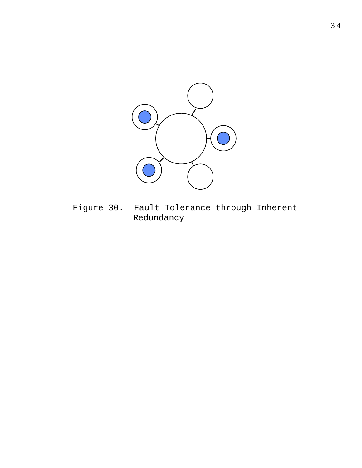

Figure 30. Fault Tolerance through Inherent Redundancy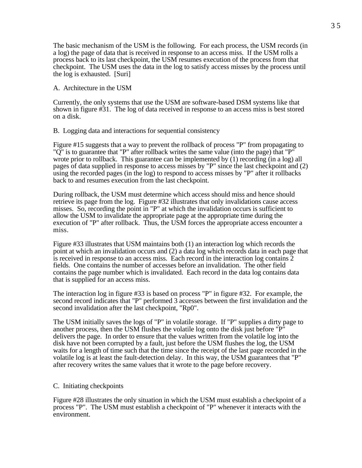The basic mechanism of the USM is the following. For each process, the USM records (in a log) the page of data that is received in response to an access miss. If the USM rolls a process back to its last checkpoint, the USM resumes execution of the process from that checkpoint. The USM uses the data in the log to satisfy access misses by the process until the log is exhausted. [Suri]

A. Architecture in the USM

Currently, the only systems that use the USM are software-based DSM systems like that shown in figure #31. The log of data received in response to an access miss is best stored on a disk.

B. Logging data and interactions for sequential consistency

Figure #15 suggests that a way to prevent the rollback of process "P" from propagating to "Q" is to guarantee that "P" after rollback writes the same value (into the page) that "P" wrote prior to rollback. This guarantee can be implemented by  $(1)$  recording  $($ in a log) all pages of data supplied in response to access misses by "P" since the last checkpoint and (2) using the recorded pages (in the log) to respond to access misses by "P" after it rollbacks back to and resumes execution from the last checkpoint.

During rollback, the USM must determine which access should miss and hence should retrieve its page from the log. Figure #32 illustrates that only invalidations cause access misses. So, recording the point in "P" at which the invalidation occurs is sufficient to allow the USM to invalidate the appropriate page at the appropriate time during the execution of "P" after rollback. Thus, the USM forces the appropriate access encounter a miss.

Figure #33 illustrates that USM maintains both (1) an interaction log which records the point at which an invalidation occurs and (2) a data log which records data in each page that is received in response to an access miss. Each record in the interaction log contains 2 fields. One contains the number of accesses before an invalidation. The other field contains the page number which is invalidated. Each record in the data log contains data that is supplied for an access miss.

The interaction log in figure #33 is based on process "P" in figure #32. For example, the second record indicates that "P" performed 3 accesses between the first invalidation and the second invalidation after the last checkpoint, "Rp0".

The USM initially saves the logs of "P" in volatile storage. If "P" supplies a dirty page to another process, then the USM flushes the volatile log onto the disk just before " $\overline{P}$ " delivers the page. In order to ensure that the values written from the volatile log into the disk have not been corrupted by a fault, just before the USM flushes the log, the USM waits for a length of time such that the time since the receipt of the last page recorded in the volatile log is at least the fault-detection delay. In this way, the USM guarantees that "P" after recovery writes the same values that it wrote to the page before recovery.

#### C. Initiating checkpoints

Figure #28 illustrates the only situation in which the USM must establish a checkpoint of a process "P". The USM must establish a checkpoint of "P" whenever it interacts with the environment.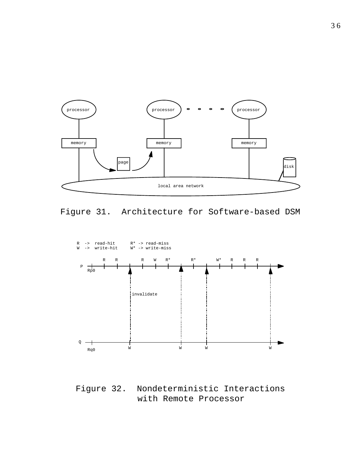

Figure 31. Architecture for Software-based DSM



Figure 32. Nondeterministic Interactions with Remote Processor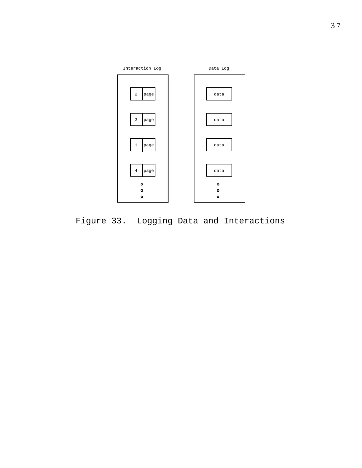

Figure 33. Logging Data and Interactions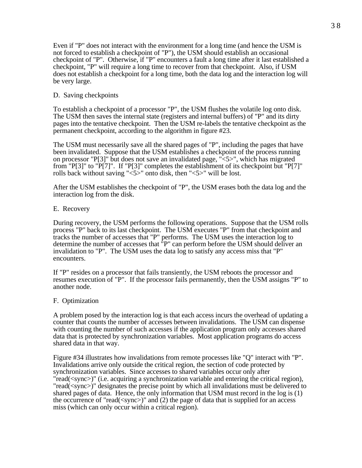Even if "P" does not interact with the environment for a long time (and hence the USM is not forced to establish a checkpoint of "P"), the USM should establish an occasional checkpoint of "P". Otherwise, if "P" encounters a fault a long time after it last established a checkpoint, "P" will require a long time to recover from that checkpoint. Also, if USM does not establish a checkpoint for a long time, both the data log and the interaction log will be very large.

## D. Saving checkpoints

To establish a checkpoint of a processor "P", the USM flushes the volatile log onto disk. The USM then saves the internal state (registers and internal buffers) of "P" and its dirty pages into the tentative checkpoint. Then the USM re-labels the tentative checkpoint as the permanent checkpoint, according to the algorithm in figure #23.

The USM must necessarily save all the shared pages of "P", including the pages that have been invalidated. Suppose that the USM establishes a checkpoint of the process running on processor "P[3]" but does not save an invalidated page, "<5>", which has migrated from "P[3]" to "P[7]". If "P[3]" completes the establishment of its checkpoint but "P[7]" rolls back without saving "<5>" onto disk, then "<5>" will be lost.

After the USM establishes the checkpoint of "P", the USM erases both the data log and the interaction log from the disk.

E. Recovery

During recovery, the USM performs the following operations. Suppose that the USM rolls process "P" back to its last checkpoint. The USM executes "P" from that checkpoint and tracks the number of accesses that "P" performs. The USM uses the interaction log to determine the number of accesses that "P" can perform before the USM should deliver an invalidation to "P". The USM uses the data log to satisfy any access miss that "P" encounters.

If "P" resides on a processor that fails transiently, the USM reboots the processor and resumes execution of "P". If the processor fails permanently, then the USM assigns "P" to another node.

#### F. Optimization

A problem posed by the interaction log is that each access incurs the overhead of updating a counter that counts the number of accesses between invalidations. The USM can dispense with counting the number of such accesses if the application program only accesses shared data that is protected by synchronization variables. Most application programs do access shared data in that way.

Figure #34 illustrates how invalidations from remote processes like "Q" interact with "P". Invalidations arrive only outside the critical region, the section of code protected by synchronization variables. Since accesses to shared variables occur only after "read(<sync>)" (i.e. acquiring a synchronization variable and entering the critical region), "read(<sync>)" designates the precise point by which all invalidations must be delivered to shared pages of data. Hence, the only information that USM must record in the log is (1) the occurrence of "read( $\langle$ sync $\rangle$ " and (2) the page of data that is supplied for an access miss (which can only occur within a critical region).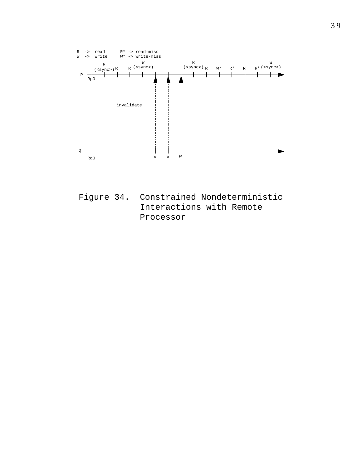

Figure 34. Constrained Nondeterministic Interactions with Remote Processor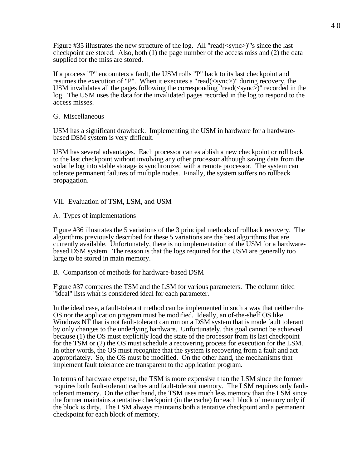Figure #35 illustrates the new structure of the log. All "read(<sync>)"'s since the last checkpoint are stored. Also, both (1) the page number of the access miss and (2) the data supplied for the miss are stored.

If a process "P" encounters a fault, the USM rolls "P" back to its last checkpoint and resumes the execution of "P". When it executes a "read( $\langle$ sync>)" during recovery, the USM invalidates all the pages following the corresponding "read( $\langle$ sync $\rangle$ )" recorded in the log. The USM uses the data for the invalidated pages recorded in the log to respond to the access misses.

#### G. Miscellaneous

USM has a significant drawback. Implementing the USM in hardware for a hardwarebased DSM system is very difficult.

USM has several advantages. Each processor can establish a new checkpoint or roll back to the last checkpoint without involving any other processor although saving data from the volatile log into stable storage is synchronized with a remote processor. The system can tolerate permanent failures of multiple nodes. Finally, the system suffers no rollback propagation.

## VII. Evaluation of TSM, LSM, and USM

A. Types of implementations

Figure #36 illustrates the 5 variations of the 3 principal methods of rollback recovery. The algorithms previously described for these 5 variations are the best algorithms that are currently available. Unfortunately, there is no implementation of the USM for a hardwarebased DSM system. The reason is that the logs required for the USM are generally too large to be stored in main memory.

B. Comparison of methods for hardware-based DSM

Figure #37 compares the TSM and the LSM for various parameters. The column titled "ideal" lists what is considered ideal for each parameter.

In the ideal case, a fault-tolerant method can be implemented in such a way that neither the OS nor the application program must be modified. Ideally, an of-the-shelf OS like Windows NT that is not fault-tolerant can run on a DSM system that is made fault tolerant by only changes to the underlying hardware. Unfortunately, this goal cannot be achieved because (1) the OS must explicitly load the state of the processor from its last checkpoint for the TSM or (2) the OS must schedule a recovering process for execution for the LSM. In other words, the OS must recognize that the system is recovering from a fault and act appropriately. So, the OS must be modified. On the other hand, the mechanisms that implement fault tolerance are transparent to the application program.

In terms of hardware expense, the TSM is more expensive than the LSM since the former requires both fault-tolerant caches and fault-tolerant memory. The LSM requires only faulttolerant memory. On the other hand, the TSM uses much less memory than the LSM since the former maintains a tentative checkpoint (in the cache) for each block of memory only if the block is dirty. The LSM always maintains both a tentative checkpoint and a permanent checkpoint for each block of memory.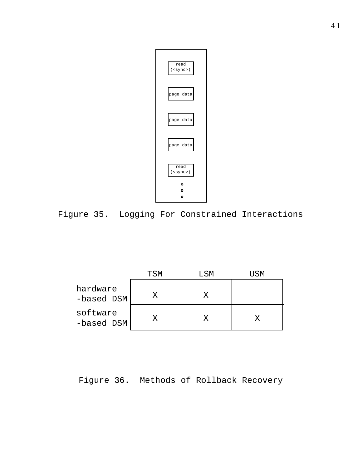

Figure 35. Logging For Constrained Interactions

|                        | TSM | LSM | USM |
|------------------------|-----|-----|-----|
| hardware<br>-based DSM | X   |     |     |
| software<br>-based DSM |     |     |     |

Figure 36. Methods of Rollback Recovery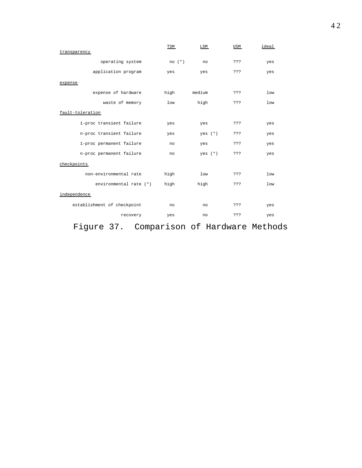|                             | TSM             | LSM             | USM | ideal           |  |  |  |
|-----------------------------|-----------------|-----------------|-----|-----------------|--|--|--|
| transparency                |                 |                 |     |                 |  |  |  |
| operating system            | $no$ $(*)$      | no              | ??? | yes             |  |  |  |
| application program         | yes             | yes             | ??? | yes             |  |  |  |
| expense                     |                 |                 |     |                 |  |  |  |
| expense of hardware         | high            | medium          | ??? | 1 <sub>ow</sub> |  |  |  |
| waste of memory             | 1 <sub>ow</sub> | high            | ??? | low             |  |  |  |
| fault-toleration            |                 |                 |     |                 |  |  |  |
| 1-proc transient failure    | yes             | yes             | ??? | yes             |  |  |  |
| n-proc transient failure    | yes             | $yes$ $(*)$     | ??? | yes             |  |  |  |
| 1-proc permanent failure    | no              | yes             | ??? | yes             |  |  |  |
| n-proc permanent failure    | no              | yes $(*)$       | ??? | yes             |  |  |  |
| checkpoints                 |                 |                 |     |                 |  |  |  |
| non-environmental rate      | high            | 1 <sub>ow</sub> | ??? | 1 <sub>ow</sub> |  |  |  |
| environmental rate (*)      | high            | high            | ??? | 1 <sub>ow</sub> |  |  |  |
| independence                |                 |                 |     |                 |  |  |  |
| establishment of checkpoint | no              | no              | ??? | yes             |  |  |  |
| recovery                    | yes             | no              | ??? | yes             |  |  |  |

Figure 37. Comparison of Hardware Methods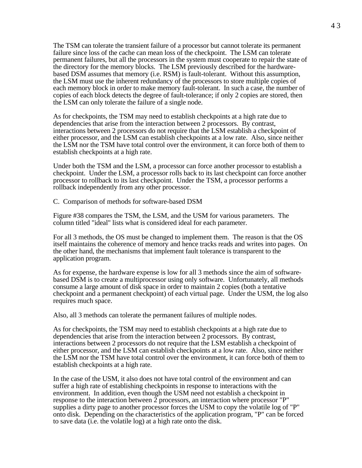The TSM can tolerate the transient failure of a processor but cannot tolerate its permanent failure since loss of the cache can mean loss of the checkpoint. The LSM can tolerate permanent failures, but all the processors in the system must cooperate to repair the state of the directory for the memory blocks. The LSM previously described for the hardwarebased DSM assumes that memory (i.e. RSM) is fault-tolerant. Without this assumption, the LSM must use the inherent redundancy of the processors to store multiple copies of each memory block in order to make memory fault-tolerant. In such a case, the number of copies of each block detects the degree of fault-tolerance; if only 2 copies are stored, then the LSM can only tolerate the failure of a single node.

As for checkpoints, the TSM may need to establish checkpoints at a high rate due to dependencies that arise from the interaction between 2 processors. By contrast, interactions between 2 processors do not require that the LSM establish a checkpoint of either processor, and the LSM can establish checkpoints at a low rate. Also, since neither the LSM nor the TSM have total control over the environment, it can force both of them to establish checkpoints at a high rate.

Under both the TSM and the LSM, a processor can force another processor to establish a checkpoint. Under the LSM, a processor rolls back to its last checkpoint can force another processor to rollback to its last checkpoint. Under the TSM, a processor performs a rollback independently from any other processor.

C. Comparison of methods for software-based DSM

Figure #38 compares the TSM, the LSM, and the USM for various parameters. The column titled "ideal" lists what is considered ideal for each parameter.

For all 3 methods, the OS must be changed to implement them. The reason is that the OS itself maintains the coherence of memory and hence tracks reads and writes into pages. On the other hand, the mechanisms that implement fault tolerance is transparent to the application program.

As for expense, the hardware expense is low for all 3 methods since the aim of softwarebased DSM is to create a multiprocessor using only software. Unfortunately, all methods consume a large amount of disk space in order to maintain 2 copies (both a tentative checkpoint and a permanent checkpoint) of each virtual page. Under the USM, the log also requires much space.

Also, all 3 methods can tolerate the permanent failures of multiple nodes.

As for checkpoints, the TSM may need to establish checkpoints at a high rate due to dependencies that arise from the interaction between 2 processors. By contrast, interactions between 2 processors do not require that the LSM establish a checkpoint of either processor, and the LSM can establish checkpoints at a low rate. Also, since neither the LSM nor the TSM have total control over the environment, it can force both of them to establish checkpoints at a high rate.

In the case of the USM, it also does not have total control of the environment and can suffer a high rate of establishing checkpoints in response to interactions with the environment. In addition, even though the USM need not establish a checkpoint in response to the interaction between 2 processors, an interaction where processor "P" supplies a dirty page to another processor forces the USM to copy the volatile log of "P" onto disk. Depending on the characteristics of the application program, "P" can be forced to save data (i.e. the volatile log) at a high rate onto the disk.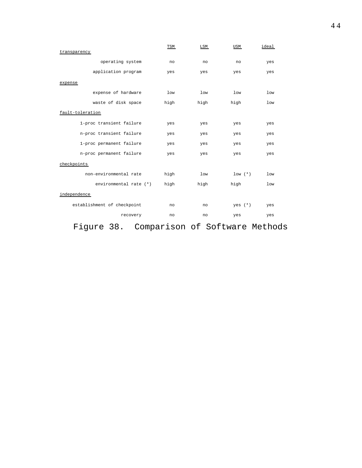|                             | TSM             | LSM             | USM         | ideal           |
|-----------------------------|-----------------|-----------------|-------------|-----------------|
| transparency                |                 |                 |             |                 |
| operating system            | no              | no              | no          | yes             |
| application program         | yes             | yes             | yes         | yes             |
| expense                     |                 |                 |             |                 |
| expense of hardware         | 1 <sub>ow</sub> | 1 <sub>ow</sub> | low         | 1 <sub>ow</sub> |
| waste of disk space         | high            | high            | high        | 1 <sub>ow</sub> |
| fault-toleration            |                 |                 |             |                 |
| 1-proc transient failure    | yes             | yes             | yes         | yes             |
| n-proc transient failure    | yes             | yes             | yes         | yes             |
| 1-proc permanent failure    | yes             | yes             | yes         | yes             |
| n-proc permanent failure    | yes             | yes             | yes         | yes             |
| checkpoints                 |                 |                 |             |                 |
| non-environmental rate      | high            | low             | $low$ $(*)$ | low             |
| environmental rate (*)      | high            | high            | high        | 1 <sub>ow</sub> |
| independence                |                 |                 |             |                 |
| establishment of checkpoint | no              | no              | yes $(*)$   | yes             |
| recovery                    | no              | no              | yes         | yes             |

Figure 38. Comparison of Software Methods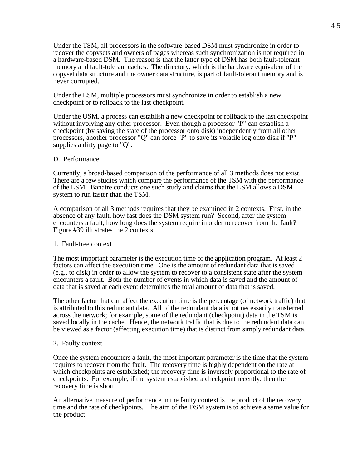Under the TSM, all processors in the software-based DSM must synchronize in order to recover the copysets and owners of pages whereas such synchronization is not required in a hardware-based DSM. The reason is that the latter type of DSM has both fault-tolerant memory and fault-tolerant caches. The directory, which is the hardware equivalent of the copyset data structure and the owner data structure, is part of fault-tolerant memory and is never corrupted.

Under the LSM, multiple processors must synchronize in order to establish a new checkpoint or to rollback to the last checkpoint.

Under the USM, a process can establish a new checkpoint or rollback to the last checkpoint without involving any other processor. Even though a processor "P" can establish a checkpoint (by saving the state of the processor onto disk) independently from all other processors, another processor "Q" can force "P" to save its volatile log onto disk if "P" supplies a dirty page to "Q".

#### D. Performance

Currently, a broad-based comparison of the performance of all 3 methods does not exist. There are a few studies which compare the performance of the TSM with the performance of the LSM. Banatre conducts one such study and claims that the LSM allows a DSM system to run faster than the TSM.

A comparison of all 3 methods requires that they be examined in 2 contexts. First, in the absence of any fault, how fast does the DSM system run? Second, after the system encounters a fault, how long does the system require in order to recover from the fault? Figure #39 illustrates the 2 contexts.

#### 1. Fault-free context

The most important parameter is the execution time of the application program. At least 2 factors can affect the execution time. One is the amount of redundant data that is saved (e.g., to disk) in order to allow the system to recover to a consistent state after the system encounters a fault. Both the number of events in which data is saved and the amount of data that is saved at each event determines the total amount of data that is saved.

The other factor that can affect the execution time is the percentage (of network traffic) that is attributed to this redundant data. All of the redundant data is not necessarily transferred across the network; for example, some of the redundant (checkpoint) data in the TSM is saved locally in the cache. Hence, the network traffic that is due to the redundant data can be viewed as a factor (affecting execution time) that is distinct from simply redundant data.

#### 2. Faulty context

Once the system encounters a fault, the most important parameter is the time that the system requires to recover from the fault. The recovery time is highly dependent on the rate at which checkpoints are established; the recovery time is inversely proportional to the rate of checkpoints. For example, if the system established a checkpoint recently, then the recovery time is short.

An alternative measure of performance in the faulty context is the product of the recovery time and the rate of checkpoints. The aim of the DSM system is to achieve a same value for the product.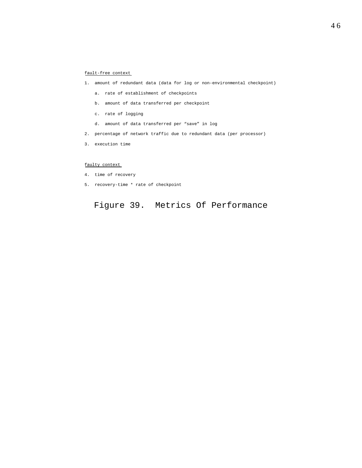#### fault-free context

- 1. amount of redundant data (data for log or non-environmental checkpoint)
	- a. rate of establishment of checkpoints
	- b. amount of data transferred per checkpoint
	- c. rate of logging
	- d. amount of data transferred per "save" in log
- 2. percentage of network traffic due to redundant data (per processor)
- 3. execution time

#### faulty context

- 4. time of recovery
- 5. recovery-time \* rate of checkpoint

# Figure 39. Metrics Of Performance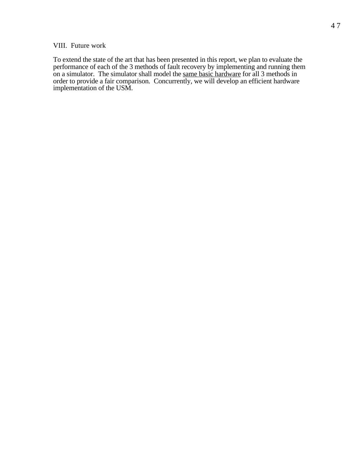#### VIII. Future work

To extend the state of the art that has been presented in this report, we plan to evaluate the performance of each of the 3 methods of fault recovery by implementing and running them on a simulator. The simulator shall model the same basic hardware for all 3 methods in order to provide a fair comparison. Concurrently, we will develop an efficient hardware implementation of the USM.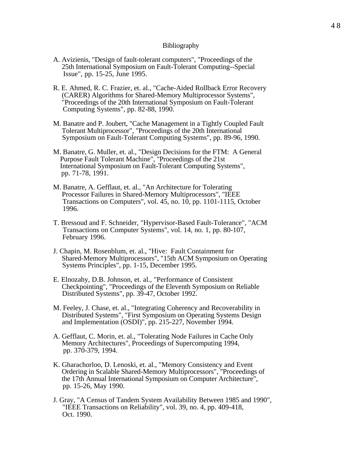#### Bibliography

- A. Avizienis, "Design of fault-tolerant computers", "Proceedings of the 25th International Symposium on Fault-Tolerant Computing--Special Issue", pp. 15-25, June 1995.
- R. E. Ahmed, R. C. Frazier, et. al., "Cache-Aided Rollback Error Recovery (CARER) Algorithms for Shared-Memory Multiprocessor Systems", "Proceedings of the 20th International Symposium on Fault-Tolerant Computing Systems", pp. 82-88, 1990.
- M. Banatre and P. Joubert, "Cache Management in a Tightly Coupled Fault Tolerant Multiprocessor", "Proceedings of the 20th International Symposium on Fault-Tolerant Computing Systems", pp. 89-96, 1990.
- M. Banatre, G. Muller, et. al., "Design Decisions for the FTM: A General Purpose Fault Tolerant Machine", "Proceedings of the 21st International Symposium on Fault-Tolerant Computing Systems", pp. 71-78, 1991.
- M. Banatre, A. Gefflaut, et. al., "An Architecture for Tolerating Processor Failures in Shared-Memory Multiprocessors", "IEEE Transactions on Computers", vol. 45, no. 10, pp. 1101-1115, October 1996.
- T. Bressoud and F. Schneider, "Hypervisor-Based Fault-Tolerance", "ACM Transactions on Computer Systems", vol. 14, no. 1, pp. 80-107, February 1996.
- J. Chapin, M. Rosenblum, et. al., "Hive: Fault Containment for Shared-Memory Multiprocessors", "15th ACM Symposium on Operating Systems Principles", pp. 1-15, December 1995.
- E. Elnozahy, D.B. Johnson, et. al., "Performance of Consistent Checkpointing", "Proceedings of the Eleventh Symposium on Reliable Distributed Systems", pp. 39-47, October 1992.
- M. Feeley, J. Chase, et. al., "Integrating Coherency and Recoverability in Distributed Systems", "First Symposium on Operating Systems Design and Implementation (OSDI)", pp. 215-227, November 1994.
- A. Gefflaut, C. Morin, et. al., "Tolerating Node Failures in Cache Only Memory Architectures", Proceedings of Supercomputing 1994, pp. 370-379, 1994.
- K. Gharachorloo, D. Lenoski, et. al., "Memory Consistency and Event Ordering in Scalable Shared-Memory Multiprocessors", "Proceedings of the 17th Annual International Symposium on Computer Architecture", pp. 15-26, May 1990.
- J. Gray, "A Census of Tandem System Availability Between 1985 and 1990", "IEEE Transactions on Reliability", vol. 39, no. 4, pp. 409-418, Oct. 1990.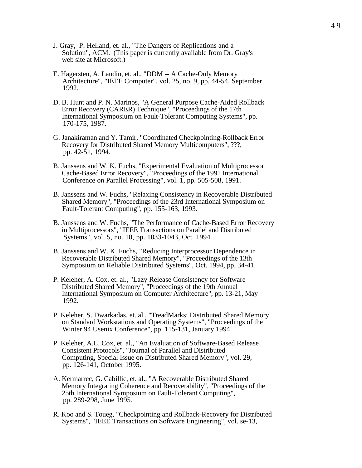- J. Gray, P. Helland, et. al., "The Dangers of Replications and a Solution", ACM. (This paper is currently available from Dr. Gray's web site at Microsoft.)
- E. Hagersten, A. Landin, et. al., "DDM -- A Cache-Only Memory Architecture", "IEEE Computer", vol. 25, no. 9, pp. 44-54, September 1992.
- D. B. Hunt and P. N. Marinos, "A General Purpose Cache-Aided Rollback Error Recovery (CARER) Technique", "Proceedings of the 17th International Symposium on Fault-Tolerant Computing Systems", pp. 170-175, 1987.
- G. Janakiraman and Y. Tamir, "Coordinated Checkpointing-Rollback Error Recovery for Distributed Shared Memory Multicomputers", ???, pp. 42-51, 1994.
- B. Janssens and W. K. Fuchs, "Experimental Evaluation of Multiprocessor Cache-Based Error Recovery", "Proceedings of the 1991 International Conference on Parallel Processing", vol. 1, pp. 505-508, 1991.
- B. Janssens and W. Fuchs, "Relaxing Consistency in Recoverable Distributed Shared Memory", "Proceedings of the 23rd International Symposium on Fault-Tolerant Computing", pp. 155-163, 1993.
- B. Janssens and W. Fuchs, "The Performance of Cache-Based Error Recovery in Multiprocessors", "IEEE Transactions on Parallel and Distributed Systems", vol. 5, no. 10, pp. 1033-1043, Oct. 1994.
- B. Janssens and W. K. Fuchs, "Reducing Interprocessor Dependence in Recoverable Distributed Shared Memory", "Proceedings of the 13th Symposium on Reliable Distributed Systems", Oct. 1994, pp. 34-41.
- P. Keleher, A. Cox, et. al., "Lazy Release Consistency for Software Distributed Shared Memory", "Proceedings of the 19th Annual International Symposium on Computer Architecture", pp. 13-21, May 1992.
- P. Keleher, S. Dwarkadas, et. al., "TreadMarks: Distributed Shared Memory on Standard Workstations and Operating Systems", "Proceedings of the Winter 94 Usenix Conference", pp. 115-131, January 1994.
- P. Keleher, A.L. Cox, et. al., "An Evaluation of Software-Based Release Consistent Protocols", "Journal of Parallel and Distributed Computing, Special Issue on Distributed Shared Memory", vol. 29, pp. 126-141, October 1995.
- A. Kermarrec, G. Cabillic, et. al., "A Recoverable Distributed Shared Memory Integrating Coherence and Recoverability", "Proceedings of the 25th International Symposium on Fault-Tolerant Computing", pp. 289-298, June 1995.
- R. Koo and S. Toueg, "Checkpointing and Rollback-Recovery for Distributed Systems", "IEEE Transactions on Software Engineering", vol. se-13,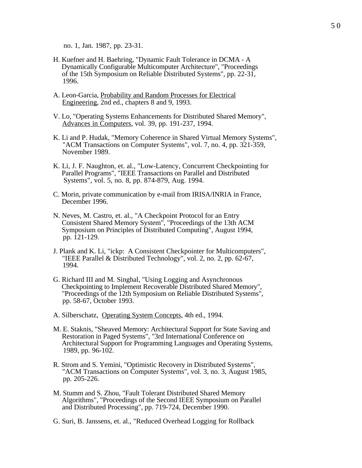no. 1, Jan. 1987, pp. 23-31.

- H. Kuefner and H. Baehring, "Dynamic Fault Tolerance in DCMA A Dynamically Configurable Multicomputer Architecture", "Proceedings of the 15th Symposium on Reliable Distributed Systems", pp. 22-31, 1996.
- A. Leon-Garcia, Probability and Random Processes for Electrical Engineering, 2nd ed., chapters 8 and 9, 1993.
- V. Lo, "Operating Systems Enhancements for Distributed Shared Memory", Advances in Computers, vol. 39, pp. 191-237, 1994.
- K. Li and P. Hudak, "Memory Coherence in Shared Virtual Memory Systems", "ACM Transactions on Computer Systems", vol. 7, no. 4, pp. 321-359, November 1989.
- K. Li, J. F. Naughton, et. al., "Low-Latency, Concurrent Checkpointing for Parallel Programs", "IEEE Transactions on Parallel and Distributed Systems", vol. 5, no. 8, pp. 874-879, Aug. 1994.
- C. Morin, private communication by e-mail from IRISA/INRIA in France, December 1996.
- N. Neves, M. Castro, et. al., "A Checkpoint Protocol for an Entry Consistent Shared Memory System", "Proceedings of the 13th ACM Symposium on Principles of Distributed Computing", August 1994, pp. 121-129.
- J. Plank and K. Li, "ickp: A Consistent Checkpointer for Multicomputers", "IEEE Parallel & Distributed Technology", vol. 2, no. 2, pp. 62-67, 1994.
- G. Richard III and M. Singhal, "Using Logging and Asynchronous Checkpointing to Implement Recoverable Distributed Shared Memory", "Proceedings of the 12th Symposium on Reliable Distributed Systems", pp. 58-67, October 1993.
- A. Silberschatz, Operating System Concepts, 4th ed., 1994.
- M. E. Staknis, "Sheaved Memory: Architectural Support for State Saving and Restoration in Paged Systems", "3rd International Conference on Architectural Support for Programming Languages and Operating Systems, 1989, pp. 96-102.
- R. Strom and S. Yemini, "Optimistic Recovery in Distributed Systems", "ACM Transactions on Computer Systems", vol. 3, no. 3, August 1985, pp. 205-226.
- M. Stumm and S. Zhou, "Fault Tolerant Distributed Shared Memory Algorithms", "Proceedings of the Second IEEE Symposium on Parallel and Distributed Processing", pp. 719-724, December 1990.
- G. Suri, B. Janssens, et. al., "Reduced Overhead Logging for Rollback